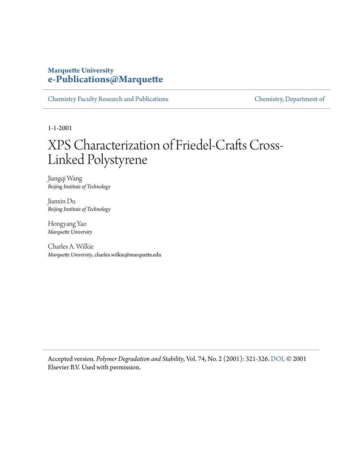#### **Marquette University [e-Publications@Marquette](https://epublications.marquette.edu)**

[Chemistry Faculty Research and Publications](https://epublications.marquette.edu/chem_fac) [Chemistry, Department of](https://epublications.marquette.edu/chemistry)

1-1-2001

## XPS Characterization of Friedel-Crafts Cross-Linked Polystyrene

Jiangqi Wang *Beijing Institute of Technology*

Jianxin Du *Beijing Institute of Technology*

Hongyang Yao *Marquette University*

Charles A. Wilkie *Marquette University*, charles.wilkie@marquette.edu

Accepted version*. Polymer Degradation and Stability*, Vol. 74, No. 2 (2001): 321-326. [DOI.](http://dx.doi.org/10.1016/S0141-3910(01)00164-1) © 2001 Elsevier B.V. Used with permission.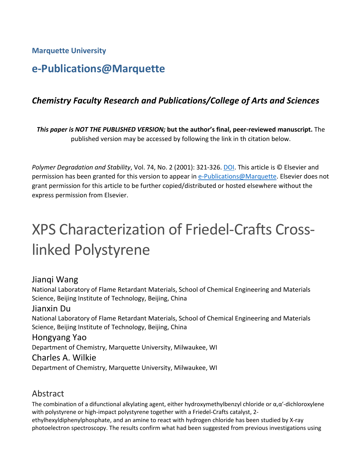**Marquette University**

### **e-Publications@Marquette**

#### *Chemistry Faculty Research and Publications/College of Arts and Sciences*

*This paper is NOT THE PUBLISHED VERSION;* **but the author's final, peer-reviewed manuscript.** The published version may be accessed by following the link in th citation below.

*Polymer Degradation and Stability*, Vol. 74, No. 2 (2001): 321-326. [DOI.](https://doi.org/10.1016/S0141-3910(01)00164-1) This article is © Elsevier and permission has been granted for this version to appear in [e-Publications@Marquette.](http://epublications.marquette.edu/) Elsevier does not grant permission for this article to be further copied/distributed or hosted elsewhere without the express permission from Elsevier.

# XPS Characterization of Friedel-Crafts Crosslinked Polystyrene

#### Jianqi Wang

National Laboratory of Flame Retardant Materials, School of Chemical Engineering and Materials Science, Beijing Institute of Technology, Beijing, China

#### Jianxin Du

National Laboratory of Flame Retardant Materials, School of Chemical Engineering and Materials Science, Beijing Institute of Technology, Beijing, China

#### Hongyang Yao

Department of Chemistry, Marquette University, Milwaukee, WI

#### Charles A. Wilkie

Department of Chemistry, Marquette University, Milwaukee, WI

#### Abstract

The combination of a difunctional alkylating agent, either hydroxymethylbenzyl chloride or  $\alpha, \alpha'$ -dichloroxylene with polystyrene or high-impact polystyrene together with a Friedel-Crafts catalyst, 2 ethylhexyldiphenylphosphate, and an amine to react with hydrogen chloride has been studied by X-ray photoelectron spectroscopy. The results confirm what had been suggested from previous investigations using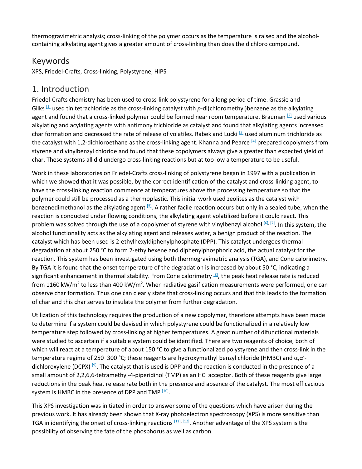thermogravimetric analysis; cross-linking of the polymer occurs as the temperature is raised and the alcoholcontaining alkylating agent gives a greater amount of cross-linking than does the dichloro compound.

#### Keywords

XPS, Friedel-Crafts, Cross-linking, Polystyrene, HIPS

#### 1. Introduction

Friedel-Crafts chemistry has been used to cross-link polystyrene for a long period of time. Grassie and Gilks  $[1]$  used tin tetrachloride as the cross-linking catalyst with p-di(chloromethyl)benzene as the alkylating agent and found that a cross-linked polymer could be formed near room temperature. Brauman <sup>[\[2\]](https://www.sciencedirect.com/science/article/pii/S0141391001001641?via%3Dihub#BIB2)</sup> used various alkylating and acylating agents with antimony trichloride as catalyst and found that alkylating agents increased char formation and decreased the rate of release of volatiles. Rabek and Lucki **[\[3\]](https://www.sciencedirect.com/science/article/pii/S0141391001001641?via%3Dihub#BIB3)** used aluminum trichloride as the catalyst with 1,2-dichloroethane as the cross-linking agent. Khanna and Pearce [\[4\]](https://www.sciencedirect.com/science/article/pii/S0141391001001641?via%3Dihub#BIB4) prepared copolymers from styrene and vinylbenzyl chloride and found that these copolymers always give a greater than expected yield of char. These systems all did undergo cross-linking reactions but at too low a temperature to be useful.

Work in these laboratories on Friedel-Crafts cross-linking of polystyrene began in 1997 with a publication in which we showed that it was possible, by the correct identification of the catalyst and cross-linking agent, to have the cross-linking reaction commence at temperatures above the processing temperature so that the polymer could still be processed as a thermoplastic. This initial work used zeolites as the catalyst with benzenedimethanol as the alkylating agent  $[5]$ . A rather facile reaction occurs but only in a sealed tube, when the reaction is conducted under flowing conditions, the alkylating agent volatilized before it could react. This problem was solved through the use of a copolymer of styrene with vinylbenzyl alcohol [\[6\],](https://www.sciencedirect.com/science/article/pii/S0141391001001641?via%3Dihub#BIB6) [\[7\].](https://www.sciencedirect.com/science/article/pii/S0141391001001641?via%3Dihub#BIB7) In this system, the alcohol functionality acts as the alkylating agent and releases water, a benign product of the reaction. The catalyst which has been used is 2-ethylhexyldiphenylphosphate (DPP). This catalyst undergoes thermal degradation at about 250 °C to form 2-ethylhexene and diphenylphosphoric acid, the actual catalyst for the reaction. This system has been investigated using both thermogravimetric analysis (TGA), and Cone calorimetry. By TGA it is found that the onset temperature of the degradation is increased by about 50 °C, indicating a significant enhancement in thermal stability. From Cone calorimetry  $[8]$ , the peak heat release rate is reduced from 1160 kW/m<sup>2</sup> to less than 400 kW/m<sup>2</sup>. When radiative gasification measurements were performed, one can observe char formation. Thus one can clearly state that cross-linking occurs and that this leads to the formation of char and this char serves to insulate the polymer from further degradation.

Utilization of this technology requires the production of a new copolymer, therefore attempts have been made to determine if a system could be devised in which polystyrene could be functionalized in a relatively low temperature step followed by cross-linking at higher temperatures. A great number of difunctional materials were studied to ascertain if a suitable system could be identified. There are two reagents of choice, both of which will react at a temperature of about 150 °C to give a functionalized polystyrene and then cross-link in the temperature regime of 250–300 °C; these reagents are hydroxymethyl benzyl chloride (HMBC) and  $α, α'$ dichloroxylene (DCPX)  $[9]$ . The catalyst that is used is DPP and the reaction is conducted in the presence of a small amount of 2,2,6,6-tetramethyl-4-piperidinol (TMP) as an HCl acceptor. Both of these reagents give large reductions in the peak heat release rate both in the presence and absence of the catalyst. The most efficacious system is HMBC in the presence of DPP and TMP [\[10\].](https://www.sciencedirect.com/science/article/pii/S0141391001001641?via%3Dihub#BIB10)

This XPS investigation was initiated in order to answer some of the questions which have arisen during the previous work. It has already been shown that X-ray photoelectron spectroscopy (XPS) is more sensitive than TGA in identifying the onset of cross-linking reactions [\[11\],](https://www.sciencedirect.com/science/article/pii/S0141391001001641?via%3Dihub#BIB11) [\[12\].](https://www.sciencedirect.com/science/article/pii/S0141391001001641?via%3Dihub#BIB12) Another advantage of the XPS system is the possibility of observing the fate of the phosphorus as well as carbon.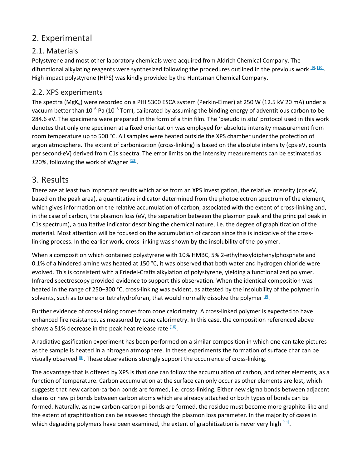#### 2. Experimental

#### 2.1. Materials

Polystyrene and most other laboratory chemicals were acquired from Aldrich Chemical Company. The difunctional alkylating reagents were synthesized following the procedures outlined in the previous work [\[9\],](https://www.sciencedirect.com/science/article/pii/S0141391001001641?via%3Dihub#BIB9) [\[10\].](https://www.sciencedirect.com/science/article/pii/S0141391001001641?via%3Dihub#BIB10) High impact polystyrene (HIPS) was kindly provided by the Huntsman Chemical Company.

#### 2.2. XPS experiments

The spectra (MgK<sub>α</sub>) were recorded on a PHI 5300 ESCA system (Perkin-Elmer) at 250 W (12.5 kV 20 mA) under a vacuum better than 10<sup>−</sup><sup>6</sup> Pa (10<sup>−</sup><sup>8</sup> Torr), calibrated by assuming the binding energy of adventitious carbon to be 284.6 eV. The specimens were prepared in the form of a thin film. The 'pseudo in situ' protocol used in this work denotes that only one specimen at a fixed orientation was employed for absolute intensity measurement from room temperature up to 500 °C. All samples were heated outside the XPS chamber under the protection of argon atmosphere. The extent of carbonization (cross-linking) is based on the absolute intensity (cps·eV, counts per second·eV) derived from C1s spectra. The error limits on the intensity measurements can be estimated as  $±20%$ , following the work of Wagner  $131$ .

#### 3. Results

There are at least two important results which arise from an XPS investigation, the relative intensity (cps·eV, based on the peak area), a quantitative indicator determined from the photoelectron spectrum of the element, which gives information on the relative accumulation of carbon, associated with the extent of cross-linking and, in the case of carbon, the plasmon loss (eV, the separation between the plasmon peak and the principal peak in C1s spectrum), a qualitative indicator describing the chemical nature, i.e. the degree of graphitization of the material. Most attention will be focused on the accumulation of carbon since this is indicative of the crosslinking process. In the earlier work, cross-linking was shown by the insolubility of the polymer.

When a composition which contained polystyrene with 10% HMBC, 5% 2-ethylhexyldiphenylphosphate and 0.1% of a hindered amine was heated at 150 °C, it was observed that both water and hydrogen chloride were evolved. This is consistent with a Friedel-Crafts alkylation of polystyrene, yielding a functionalized polymer. Infrared spectroscopy provided evidence to support this observation. When the identical composition was heated in the range of 250–300 °C, cross-linking was evident, as attested by the insolubility of the polymer in solvents, such as toluene or tetrahydrofuran, that would normally dissolve the polymer  $[9]$ .

Further evidence of cross-linking comes from cone calorimetry. A cross-linked polymer is expected to have enhanced fire resistance, as measured by cone calorimetry. In this case, the composition referenced above shows a 51% decrease in the peak heat release rate  $[10]$ .

A radiative gasification experiment has been performed on a similar composition in which one can take pictures as the sample is heated in a nitrogen atmosphere. In these experiments the formation of surface char can be visually observed  $[8]$ . These observations strongly support the occurrence of cross-linking.

The advantage that is offered by XPS is that one can follow the accumulation of carbon, and other elements, as a function of temperature. Carbon accumulation at the surface can only occur as other elements are lost, which suggests that new carbon-carbon bonds are formed, i.e. cross-linking. Either new sigma bonds between adjacent chains or new pi bonds between carbon atoms which are already attached or both types of bonds can be formed. Naturally, as new carbon-carbon pi bonds are formed, the residue must become more graphite-like and the extent of graphitization can be assessed through the plasmon loss parameter. In the majority of cases in which degrading polymers have been examined, the extent of graphitization is never very high  $\frac{111}{2}$ .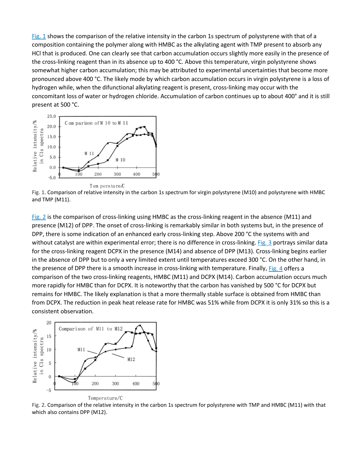[Fig.](https://www.sciencedirect.com/science/article/pii/S0141391001001641?via%3Dihub#FIGGR1) 1 shows the comparison of the relative intensity in the carbon 1s spectrum of polystyrene with that of a composition containing the polymer along with HMBC as the alkylating agent with TMP present to absorb any HCl that is produced. One can clearly see that carbon accumulation occurs slightly more easily in the presence of the cross-linking reagent than in its absence up to 400 °C. Above this temperature, virgin polystyrene shows somewhat higher carbon accumulation; this may be attributed to experimental uncertainties that become more pronounced above 400 °C. The likely mode by which carbon accumulation occurs in virgin polystyrene is a loss of hydrogen while, when the difunctional alkylating reagent is present, cross-linking may occur with the concomitant loss of water or hydrogen chloride. Accumulation of carbon continues up to about 400° and it is still present at 500 °C.



Fig. 1. Comparison of relative intensity in the carbon 1s spectrum for virgin polystyrene (M10) and polystyrene with HMBC and TMP (M11).

[Fig.](https://www.sciencedirect.com/science/article/pii/S0141391001001641?via%3Dihub#FIGGR2) 2 is the comparison of cross-linking using HMBC as the cross-linking reagent in the absence (M11) and presence (M12) of DPP. The onset of cross-linking is remarkably similar in both systems but, in the presence of DPP, there is some indication of an enhanced early cross-linking step. Above 200 °C the systems with and without catalyst are within experimental error; there is no difference in cross-linking. [Fig.](https://www.sciencedirect.com/science/article/pii/S0141391001001641?via%3Dihub#FIGGR3) 3 portrays similar data for the cross-linking reagent DCPX in the presence (M14) and absence of DPP (M13). Cross-linking begins earlier in the absence of DPP but to only a very limited extent until temperatures exceed 300 °C. On the other hand, in the presence of DPP there is a smooth increase in cross-linking with temperature. Finally, [Fig.](https://www.sciencedirect.com/science/article/pii/S0141391001001641?via%3Dihub#FIGGR4) 4 offers a comparison of the two cross-linking reagents, HMBC (M11) and DCPX (M14). Carbon accumulation occurs much more rapidly for HMBC than for DCPX. It is noteworthy that the carbon has vanished by 500 °C for DCPX but remains for HMBC. The likely explanation is that a more thermally stable surface is obtained from HMBC than from DCPX. The reduction in peak heat release rate for HMBC was 51% while from DCPX it is only 31% so this is a consistent observation.



Fig. 2. Comparison of the relative intensity in the carbon 1s spectrum for polystyrene with TMP and HMBC (M11) with that which also contains DPP (M12).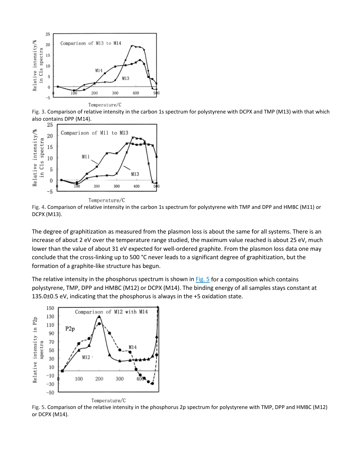

Fig. 3. Comparison of relative intensity in the carbon 1s spectrum for polystyrene with DCPX and TMP (M13) with that which also contains DPP (M14).



Temperature/C

Fig. 4. Comparison of relative intensity in the carbon 1s spectrum for polystyrene with TMP and DPP and HMBC (M11) or DCPX (M13).

The degree of graphitization as measured from the plasmon loss is about the same for all systems. There is an increase of about 2 eV over the temperature range studied, the maximum value reached is about 25 eV, much lower than the value of about 31 eV expected for well-ordered graphite. From the plasmon loss data one may conclude that the cross-linking up to 500 °C never leads to a significant degree of graphitization, but the formation of a graphite-like structure has begun.

The relative intensity in the phosphorus spectrum is shown in  $Fig. 5$  $Fig. 5$  for a composition which contains polystyrene, TMP, DPP and HMBC (M12) or DCPX (M14). The binding energy of all samples stays constant at 135.0±0.5 eV, indicating that the phosphorus is always in the +5 oxidation state.



Fig. 5. Comparison of the relative intensity in the phosphorus 2p spectrum for polystyrene with TMP, DPP and HMBC (M12) or DCPX (M14).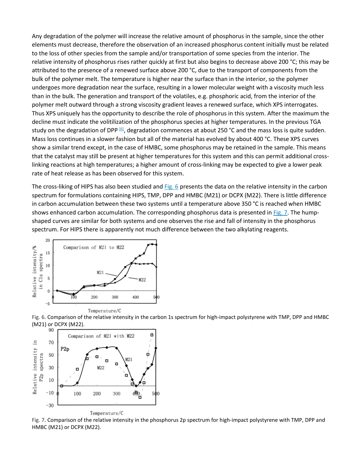Any degradation of the polymer will increase the relative amount of phosphorus in the sample, since the other elements must decrease, therefore the observation of an increased phosphorus content initially must be related to the loss of other species from the sample and/or transportation of some species from the interior. The relative intensity of phosphorus rises rather quickly at first but also begins to decrease above 200 °C; this may be attributed to the presence of a renewed surface above 200 °C, due to the transport of components from the bulk of the polymer melt. The temperature is higher near the surface than in the interior, so the polymer undergoes more degradation near the surface, resulting in a lower molecular weight with a viscosity much less than in the bulk. The generation and transport of the volatiles, e.g. phosphoric acid, from the interior of the polymer melt outward through a strong viscosity gradient leaves a renewed surface, which XPS interrogates. Thus XPS uniquely has the opportunity to describe the role of phosphorus in this system. After the maximum the decline must indicate the volitilization of the phosphorus species at higher temperatures. In the previous TGA study on the degradation of DPP <sup>[6]</sup>, degradation commences at about 250 °C and the mass loss is quite sudden. Mass loss continues in a slower fashion but all of the material has evolved by about 400 °C. These XPS curves show a similar trend except, in the case of HMBC, some phosphorus may be retained in the sample. This means that the catalyst may still be present at higher temperatures for this system and this can permit additional crosslinking reactions at high temperatures; a higher amount of cross-linking may be expected to give a lower peak rate of heat release as has been observed for this system.

The cross-liking of HIPS has also been studied and [Fig.](https://www.sciencedirect.com/science/article/pii/S0141391001001641?via%3Dihub#FIGGR6) 6 presents the data on the relative intensity in the carbon spectrum for formulations containing HIPS, TMP, DPP and HMBC (M21) or DCPX (M22). There is little difference in carbon accumulation between these two systems until a temperature above 350 °C is reached when HMBC shows enhanced carbon accumulation. The corresponding phosphorus data is presented in [Fig.](https://www.sciencedirect.com/science/article/pii/S0141391001001641?via%3Dihub#FIGGR7) 7. The humpshaped curves are similar for both systems and one observes the rise and fall of intensity in the phosphorus spectrum. For HIPS there is apparently not much difference between the two alkylating reagents.



Fig. 6. Comparison of the relative intensity in the carbon 1s spectrum for high-impact polystyrene with TMP, DPP and HMBC (M21) or DCPX (M22).



Fig. 7. Comparison of the relative intensity in the phosphorus 2p spectrum for high-impact polystyrene with TMP, DPP and HMBC (M21) or DCPX (M22).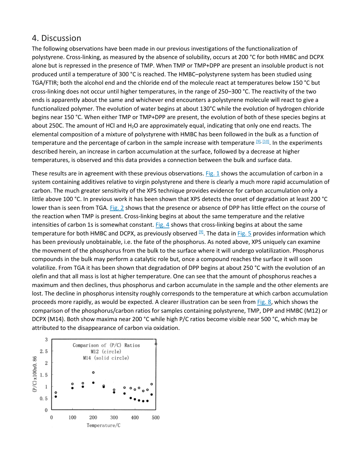#### 4. Discussion

The following observations have been made in our previous investigations of the functionalization of polystyrene. Cross-linking, as measured by the absence of solubility, occurs at 200 °C for both HMBC and DCPX alone but is repressed in the presence of TMP. When TMP or TMP+DPP are present an insoluble product is not produced until a temperature of 300 °C is reached. The HMBC–polystyrene system has been studied using TGA/FTIR; both the alcohol end and the chloride end of the molecule react at temperatures below 150 °C but cross-linking does not occur until higher temperatures, in the range of 250–300 °C. The reactivity of the two ends is apparently about the same and whichever end encounters a polystyrene molecule will react to give a functionalized polymer. The evolution of water begins at about 130°C while the evolution of hydrogen chloride begins near 150 °C. When either TMP or TMP+DPP are present, the evolution of both of these species begins at about 250C. The amount of HCl and H<sub>2</sub>O are approximately equal, indicating that only one end reacts. The elemental composition of a mixture of polystyrene with HMBC has been followed in the bulk as a function of temperature and the percentage of carbon in the sample increase with temperature [\[9\],](https://www.sciencedirect.com/science/article/pii/S0141391001001641?via%3Dihub#BIB9) [\[10\].](https://www.sciencedirect.com/science/article/pii/S0141391001001641?via%3Dihub#BIB10) In the experiments described herein, an increase in carbon accumulation at the surface, followed by a decrease at higher temperatures, is observed and this data provides a connection between the bulk and surface data.

These results are in agreement with these previous observations. [Fig.](https://www.sciencedirect.com/science/article/pii/S0141391001001641?via%3Dihub#FIGGR1) 1 shows the accumulation of carbon in a system containing additives relative to virgin polystyrene and there is clearly a much more rapid accumulation of carbon. The much greater sensitivity of the XPS technique provides evidence for carbon accumulation only a little above 100 °C. In previous work it has been shown that XPS detects the onset of degradation at least 200 °C lower than is seen from TGA. [Fig.](https://www.sciencedirect.com/science/article/pii/S0141391001001641?via%3Dihub#FIGGR2) 2 shows that the presence or absence of DPP has little effect on the course of the reaction when TMP is present. Cross-linking begins at about the same temperature and the relative intensities of carbon 1s is somewhat constant.  $Fig. 4$  $Fig. 4$  shows that cross-linking begins at about the same temperature for both HMBC and DCPX, as previously observed  $[9]$ . The data in [Fig.](https://www.sciencedirect.com/science/article/pii/S0141391001001641?via%3Dihub#FIGGR5) 5 provides information which has been previously unobtainable, i.e. the fate of the phosphorus. As noted above, XPS uniquely can examine the movement of the phosphorus from the bulk to the surface where it will undergo volatilization. Phosphorus compounds in the bulk may perform a catalytic role but, once a compound reaches the surface it will soon volatilize. From TGA it has been shown that degradation of DPP begins at about 250 °C with the evolution of an olefin and that all mass is lost at higher temperature. One can see that the amount of phosphorus reaches a maximum and then declines, thus phosphorus and carbon accumulate in the sample and the other elements are lost. The decline in phosphorus intensity roughly corresponds to the temperature at which carbon accumulation proceeds more rapidly, as would be expected. A clearer illustration can be seen from [Fig.](https://www.sciencedirect.com/science/article/pii/S0141391001001641?via%3Dihub#FIGGR8) 8, which shows the comparison of the phosphorus/carbon ratios for samples containing polystyrene, TMP, DPP and HMBC (M12) or DCPX (M14). Both show maxima near 200 °C while high P/C ratios become visible near 500 °C, which may be attributed to the disappearance of carbon via oxidation.